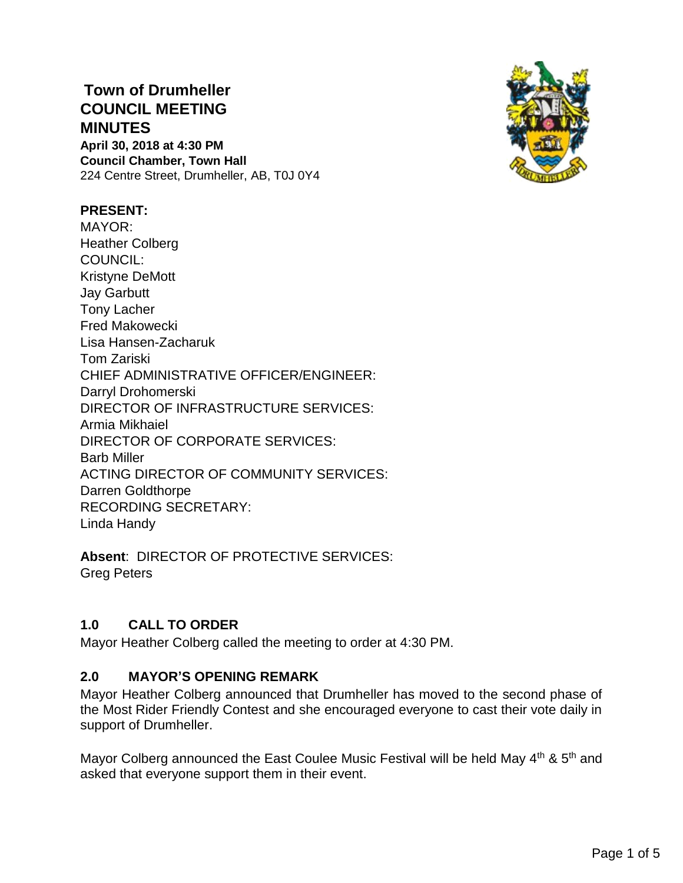# **Town of Drumheller COUNCIL MEETING MINUTES April 30, 2018 at 4:30 PM Council Chamber, Town Hall** 224 Centre Street, Drumheller, AB, T0J 0Y4



## **PRESENT:**

MAYOR: Heather Colberg COUNCIL: Kristyne DeMott Jay Garbutt Tony Lacher Fred Makowecki Lisa Hansen-Zacharuk Tom Zariski CHIEF ADMINISTRATIVE OFFICER/ENGINEER: Darryl Drohomerski DIRECTOR OF INFRASTRUCTURE SERVICES: Armia Mikhaiel DIRECTOR OF CORPORATE SERVICES: Barb Miller ACTING DIRECTOR OF COMMUNITY SERVICES: Darren Goldthorpe RECORDING SECRETARY: Linda Handy

**Absent**: DIRECTOR OF PROTECTIVE SERVICES: Greg Peters

# **1.0 CALL TO ORDER**

Mayor Heather Colberg called the meeting to order at 4:30 PM.

## **2.0 MAYOR'S OPENING REMARK**

Mayor Heather Colberg announced that Drumheller has moved to the second phase of the Most Rider Friendly Contest and she encouraged everyone to cast their vote daily in support of Drumheller.

Mayor Colberg announced the East Coulee Music Festival will be held May 4<sup>th</sup> & 5<sup>th</sup> and asked that everyone support them in their event.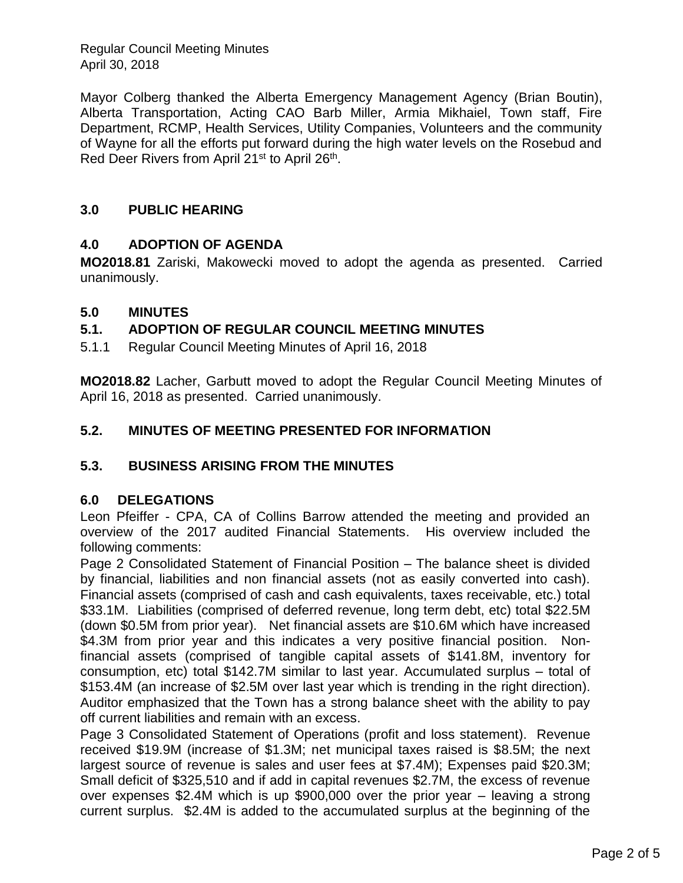Regular Council Meeting Minutes April 30, 2018

Mayor Colberg thanked the Alberta Emergency Management Agency (Brian Boutin), Alberta Transportation, Acting CAO Barb Miller, Armia Mikhaiel, Town staff, Fire Department, RCMP, Health Services, Utility Companies, Volunteers and the community of Wayne for all the efforts put forward during the high water levels on the Rosebud and Red Deer Rivers from April 21<sup>st</sup> to April 26<sup>th</sup>.

## **3.0 PUBLIC HEARING**

## **4.0 ADOPTION OF AGENDA**

**MO2018.81** Zariski, Makowecki moved to adopt the agenda as presented. Carried unanimously.

## **5.0 MINUTES**

## **5.1. ADOPTION OF REGULAR COUNCIL MEETING MINUTES**

5.1.1 Regular Council Meeting Minutes of April 16, 2018

**MO2018.82** Lacher, Garbutt moved to adopt the Regular Council Meeting Minutes of April 16, 2018 as presented. Carried unanimously.

## **5.2. MINUTES OF MEETING PRESENTED FOR INFORMATION**

## **5.3. BUSINESS ARISING FROM THE MINUTES**

## **6.0 DELEGATIONS**

Leon Pfeiffer - CPA, CA of Collins Barrow attended the meeting and provided an overview of the 2017 audited Financial Statements. His overview included the following comments:

Page 2 Consolidated Statement of Financial Position – The balance sheet is divided by financial, liabilities and non financial assets (not as easily converted into cash). Financial assets (comprised of cash and cash equivalents, taxes receivable, etc.) total \$33.1M. Liabilities (comprised of deferred revenue, long term debt, etc) total \$22.5M (down \$0.5M from prior year). Net financial assets are \$10.6M which have increased \$4.3M from prior year and this indicates a very positive financial position. Nonfinancial assets (comprised of tangible capital assets of \$141.8M, inventory for consumption, etc) total \$142.7M similar to last year. Accumulated surplus – total of \$153.4M (an increase of \$2.5M over last year which is trending in the right direction). Auditor emphasized that the Town has a strong balance sheet with the ability to pay off current liabilities and remain with an excess.

Page 3 Consolidated Statement of Operations (profit and loss statement). Revenue received \$19.9M (increase of \$1.3M; net municipal taxes raised is \$8.5M; the next largest source of revenue is sales and user fees at \$7.4M); Expenses paid \$20.3M; Small deficit of \$325,510 and if add in capital revenues \$2.7M, the excess of revenue over expenses \$2.4M which is up \$900,000 over the prior year – leaving a strong current surplus. \$2.4M is added to the accumulated surplus at the beginning of the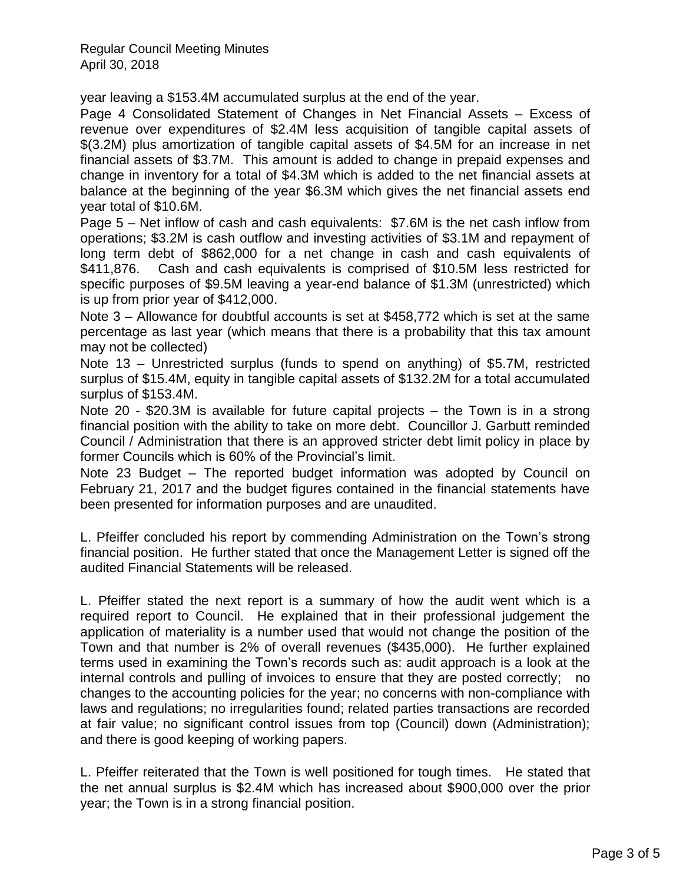Regular Council Meeting Minutes April 30, 2018

year leaving a \$153.4M accumulated surplus at the end of the year.

Page 4 Consolidated Statement of Changes in Net Financial Assets – Excess of revenue over expenditures of \$2.4M less acquisition of tangible capital assets of \$(3.2M) plus amortization of tangible capital assets of \$4.5M for an increase in net financial assets of \$3.7M. This amount is added to change in prepaid expenses and change in inventory for a total of \$4.3M which is added to the net financial assets at balance at the beginning of the year \$6.3M which gives the net financial assets end year total of \$10.6M.

Page 5 – Net inflow of cash and cash equivalents: \$7.6M is the net cash inflow from operations; \$3.2M is cash outflow and investing activities of \$3.1M and repayment of long term debt of \$862,000 for a net change in cash and cash equivalents of \$411,876. Cash and cash equivalents is comprised of \$10.5M less restricted for specific purposes of \$9.5M leaving a year-end balance of \$1.3M (unrestricted) which is up from prior year of \$412,000.

Note 3 – Allowance for doubtful accounts is set at \$458,772 which is set at the same percentage as last year (which means that there is a probability that this tax amount may not be collected)

Note 13 – Unrestricted surplus (funds to spend on anything) of \$5.7M, restricted surplus of \$15.4M, equity in tangible capital assets of \$132.2M for a total accumulated surplus of \$153.4M.

Note 20 - \$20.3M is available for future capital projects – the Town is in a strong financial position with the ability to take on more debt. Councillor J. Garbutt reminded Council / Administration that there is an approved stricter debt limit policy in place by former Councils which is 60% of the Provincial's limit.

Note 23 Budget – The reported budget information was adopted by Council on February 21, 2017 and the budget figures contained in the financial statements have been presented for information purposes and are unaudited.

L. Pfeiffer concluded his report by commending Administration on the Town's strong financial position. He further stated that once the Management Letter is signed off the audited Financial Statements will be released.

L. Pfeiffer stated the next report is a summary of how the audit went which is a required report to Council. He explained that in their professional judgement the application of materiality is a number used that would not change the position of the Town and that number is 2% of overall revenues (\$435,000). He further explained terms used in examining the Town's records such as: audit approach is a look at the internal controls and pulling of invoices to ensure that they are posted correctly; no changes to the accounting policies for the year; no concerns with non-compliance with laws and regulations; no irregularities found; related parties transactions are recorded at fair value; no significant control issues from top (Council) down (Administration); and there is good keeping of working papers.

L. Pfeiffer reiterated that the Town is well positioned for tough times. He stated that the net annual surplus is \$2.4M which has increased about \$900,000 over the prior year; the Town is in a strong financial position.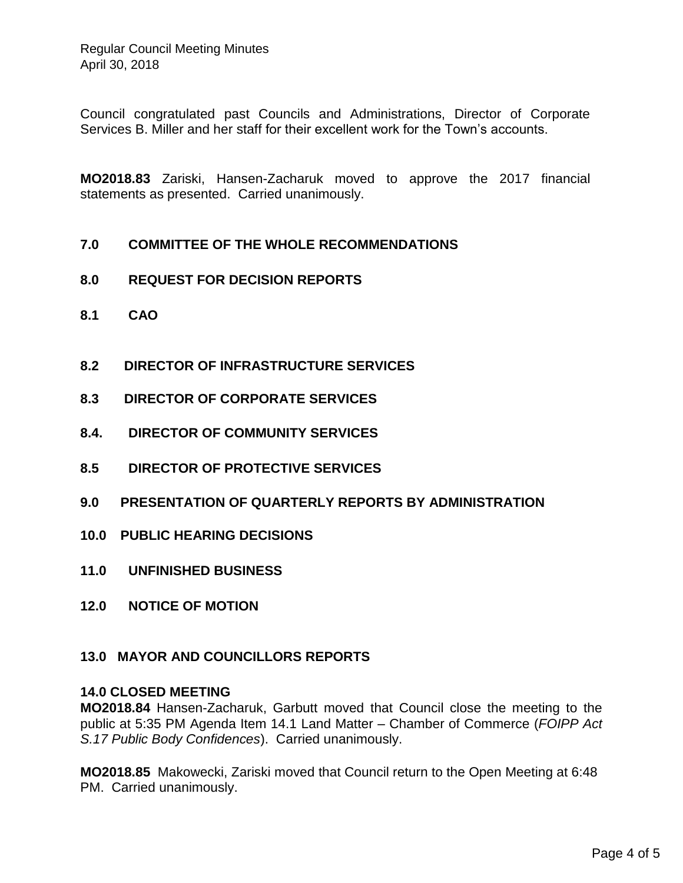Council congratulated past Councils and Administrations, Director of Corporate Services B. Miller and her staff for their excellent work for the Town's accounts.

**MO2018.83** Zariski, Hansen-Zacharuk moved to approve the 2017 financial statements as presented. Carried unanimously.

#### **7.0 COMMITTEE OF THE WHOLE RECOMMENDATIONS**

- **8.0 REQUEST FOR DECISION REPORTS**
- **8.1 CAO**
- **8.2 DIRECTOR OF INFRASTRUCTURE SERVICES**
- **8.3 DIRECTOR OF CORPORATE SERVICES**
- **8.4. DIRECTOR OF COMMUNITY SERVICES**
- **8.5 DIRECTOR OF PROTECTIVE SERVICES**
- **9.0 PRESENTATION OF QUARTERLY REPORTS BY ADMINISTRATION**
- **10.0 PUBLIC HEARING DECISIONS**
- **11.0 UNFINISHED BUSINESS**
- **12.0 NOTICE OF MOTION**

#### **13.0 MAYOR AND COUNCILLORS REPORTS**

#### **14.0 CLOSED MEETING**

**MO2018.84** Hansen-Zacharuk, Garbutt moved that Council close the meeting to the public at 5:35 PM Agenda Item 14.1 Land Matter – Chamber of Commerce (*FOIPP Act S.17 Public Body Confidences*). Carried unanimously.

**MO2018.85** Makowecki, Zariski moved that Council return to the Open Meeting at 6:48 PM. Carried unanimously.